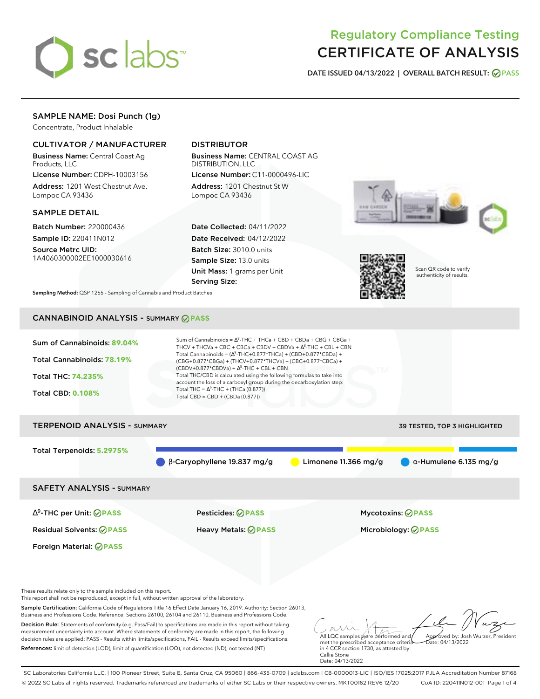

# Regulatory Compliance Testing CERTIFICATE OF ANALYSIS

**DATE ISSUED 04/13/2022 | OVERALL BATCH RESULT: PASS**

# SAMPLE NAME: Dosi Punch (1g)

Concentrate, Product Inhalable

### CULTIVATOR / MANUFACTURER

Business Name: Central Coast Ag Products, LLC

License Number: CDPH-10003156 Address: 1201 West Chestnut Ave. Lompoc CA 93436

### SAMPLE DETAIL

Batch Number: 220000436 Sample ID: 220411N012

Source Metrc UID: 1A4060300002EE1000030616

## DISTRIBUTOR

Business Name: CENTRAL COAST AG DISTRIBUTION, LLC License Number: C11-0000496-LIC

Address: 1201 Chestnut St W Lompoc CA 93436

Date Collected: 04/11/2022 Date Received: 04/12/2022 Batch Size: 3010.0 units Sample Size: 13.0 units Unit Mass: 1 grams per Unit Serving Size:





Scan QR code to verify authenticity of results.

**Sampling Method:** QSP 1265 - Sampling of Cannabis and Product Batches

# CANNABINOID ANALYSIS - SUMMARY **PASS**



These results relate only to the sample included on this report.

This report shall not be reproduced, except in full, without written approval of the laboratory.

Sample Certification: California Code of Regulations Title 16 Effect Date January 16, 2019. Authority: Section 26013, Business and Professions Code. Reference: Sections 26100, 26104 and 26110, Business and Professions Code.

Decision Rule: Statements of conformity (e.g. Pass/Fail) to specifications are made in this report without taking measurement uncertainty into account. Where statements of conformity are made in this report, the following decision rules are applied: PASS - Results within limits/specifications, FAIL - Results exceed limits/specifications. References: limit of detection (LOD), limit of quantification (LOQ), not detected (ND), not tested (NT)

All LQC samples were performed and met the prescribed acceptance criteria Approved by: Josh Wurzer, President  $ate: 04/13/2022$ 

in 4 CCR section 1730, as attested by: Callie Stone Date: 04/13/2022

SC Laboratories California LLC. | 100 Pioneer Street, Suite E, Santa Cruz, CA 95060 | 866-435-0709 | sclabs.com | C8-0000013-LIC | ISO/IES 17025:2017 PJLA Accreditation Number 87168 © 2022 SC Labs all rights reserved. Trademarks referenced are trademarks of either SC Labs or their respective owners. MKT00162 REV6 12/20 CoA ID: 220411N012-001 Page 1 of 4